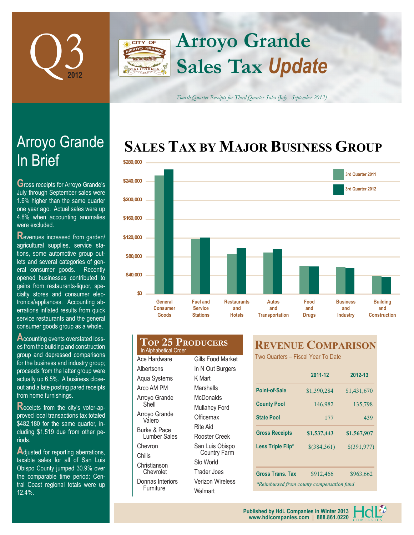

### **Arroyo Grande CITY OF Sales Tax** *Update*

*Fourth Quarter Receipts for Third Quarter Sales (July - September 2012)*

## **SALES TAX BY MAJOR BUSINESS GROUP**



# In Brief Arroyo Grande

**G**ross receipts for Arroyo Grande's July through September sales were 1.6% higher than the same quarter one year ago. Actual sales were up 4.8% when accounting anomalies were excluded.

**R**evenues increased from garden/ agricultural supplies, service stations, some automotive group outlets and several categories of general consumer goods. Recently opened businesses contributed to gains from restaurants-liquor, specialty stores and consumer electronics/appliances. Accounting aberrations inflated results from quick service restaurants and the general consumer goods group as a whole.

**Accounting events overstated loss**es from the building and construction group and depressed comparisons for the business and industry group; proceeds from the latter group were actually up 6.5%. A business closeout and a late posting pared receipts from home furnishings.

**R**eceipts from the city's voter-approved local transactions tax totaled \$482,180 for the same quarter, including \$1,519 due from other periods.

Adjusted for reporting aberrations, taxable sales for all of San Luis Obispo County jumped 30.9% over the comparable time period; Central Coast regional totals were up 12.4%.

#### **Top 25 Producers** In Alphabetical Order Ace Hardware **Albertsons** Aqua Systems Arco AM PM Gills Food Market In N Out Burgers K Mart **Marshalls McDonalds**

Arroyo Grande Shell Arroyo Grande Valero Burke & Pace Lumber Sales Chevron Chilis Christianson Chevrolet Donnas Interiors

Furniture

Mullahey Ford **Officemax** Rite Aid Rooster Creek San Luis Obispo Country Farm Slo World Trader Joes Verizon Wireless

**Walmart** 

### **REVENUE COMPARISON**

Two Quarters – Fiscal Year To Date

|                                           | 2011-12       | 2012-13      |  |  |  |  |
|-------------------------------------------|---------------|--------------|--|--|--|--|
| Point-of-Sale                             | \$1,390,284   | \$1,431,670  |  |  |  |  |
| <b>County Pool</b>                        | 146,982       | 135,798      |  |  |  |  |
| <b>State Pool</b>                         | 177           | 439          |  |  |  |  |
| <b>Gross Receipts</b>                     | \$1,537,443   | \$1,567,907  |  |  |  |  |
| Less Triple Flip*                         | $$$ (384,361) | \$(391, 977) |  |  |  |  |
|                                           |               |              |  |  |  |  |
| <b>Gross Trans. Tax</b>                   | \$912,466     | \$963,662    |  |  |  |  |
| *Reimbursed from county compensation fund |               |              |  |  |  |  |